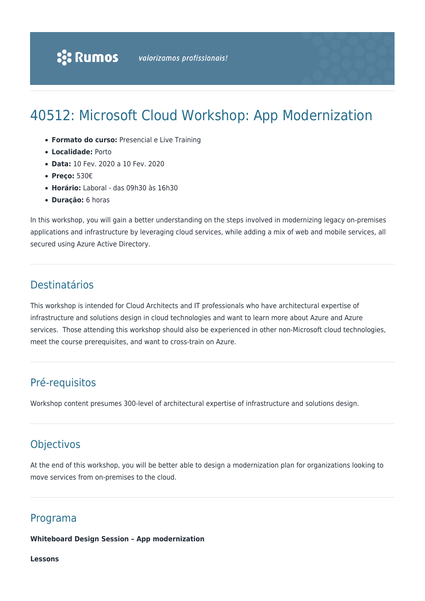# 40512: Microsoft Cloud Workshop: App Modernization

- **Formato do curso:** Presencial e Live Training
- **Localidade:** Porto
- **Data:** 10 Fev. 2020 a 10 Fev. 2020
- **Preço:** 530€
- **Horário:** Laboral das 09h30 às 16h30
- **Duração:** 6 horas

In this workshop, you will gain a better understanding on the steps involved in modernizing legacy on-premises applications and infrastructure by leveraging cloud services, while adding a mix of web and mobile services, all secured using Azure Active Directory.

# **Destinatários**

This workshop is intended for Cloud Architects and IT professionals who have architectural expertise of infrastructure and solutions design in cloud technologies and want to learn more about Azure and Azure services. Those attending this workshop should also be experienced in other non-Microsoft cloud technologies, meet the course prerequisites, and want to cross-train on Azure.

## Pré-requisitos

Workshop content presumes 300-level of architectural expertise of infrastructure and solutions design.

# Objectivos

At the end of this workshop, you will be better able to design a modernization plan for organizations looking to move services from on-premises to the cloud.

## Programa

#### **Whiteboard Design Session – App modernization**

**Lessons**